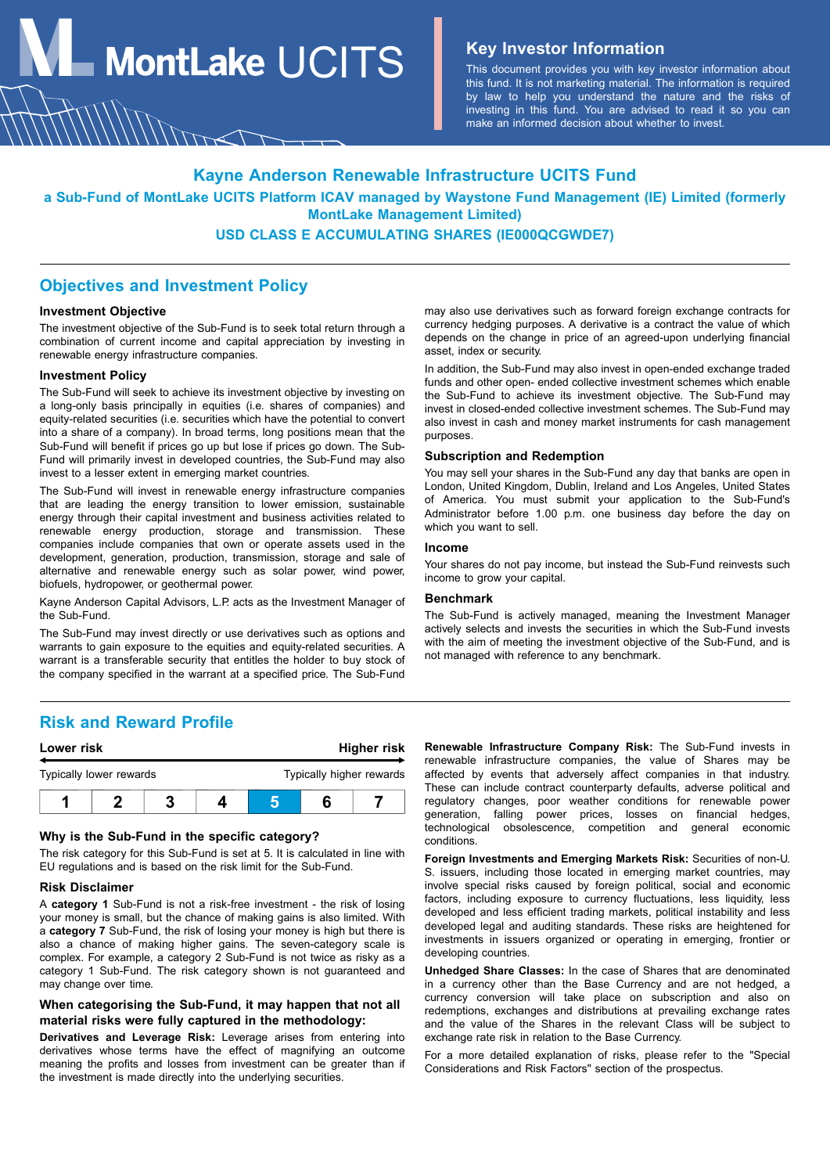**MontLake**  $UCITS$  **Key Investor Information** 

This document provides you with key investor information about this fund. It is not marketing material. The information is required by law to help you understand the nature and the risks of investing in this fund. You are advised to read it so you can make an informed decision about whether to invest.

### **Kayne Anderson Renewable Infrastructure UCITS Fund**

**a Sub-Fund of MontLake UCITS Platform ICAV managed by Waystone Fund Management (IE) Limited (formerly MontLake Management Limited)**

# **USD CLASS E ACCUMULATING SHARES (IE000QCGWDE7)**

### **Objectives and Investment Policy**

#### **Investment Objective**

The investment objective of the Sub-Fund is to seek total return through a combination of current income and capital appreciation by investing in renewable energy infrastructure companies.

#### **Investment Policy**

The Sub-Fund will seek to achieve its investment objective by investing on a long-only basis principally in equities (i.e. shares of companies) and equity-related securities (i.e. securities which have the potential to convert into a share of a company). In broad terms, long positions mean that the Sub-Fund will benefit if prices go up but lose if prices go down. The Sub-Fund will primarily invest in developed countries, the Sub-Fund may also invest to a lesser extent in emerging market countries.

The Sub-Fund will invest in renewable energy infrastructure companies that are leading the energy transition to lower emission, sustainable energy through their capital investment and business activities related to renewable energy production, storage and transmission. These companies include companies that own or operate assets used in the development, generation, production, transmission, storage and sale of alternative and renewable energy such as solar power, wind power, biofuels, hydropower, or geothermal power.

Kayne Anderson Capital Advisors, L.P. acts as the Investment Manager of the Sub-Fund.

The Sub-Fund may invest directly or use derivatives such as options and warrants to gain exposure to the equities and equity-related securities. A warrant is a transferable security that entitles the holder to buy stock of the company specified in the warrant at a specified price. The Sub-Fund

may also use derivatives such as forward foreign exchange contracts for currency hedging purposes. A derivative is a contract the value of which depends on the change in price of an agreed-upon underlying financial asset, index or security.

In addition, the Sub-Fund may also invest in open-ended exchange traded funds and other open- ended collective investment schemes which enable the Sub-Fund to achieve its investment objective. The Sub-Fund may invest in closed-ended collective investment schemes. The Sub-Fund may also invest in cash and money market instruments for cash management purposes.

#### **Subscription and Redemption**

You may sell your shares in the Sub-Fund any day that banks are open in London, United Kingdom, Dublin, Ireland and Los Angeles, United States of America. You must submit your application to the Sub-Fund's Administrator before 1.00 p.m. one business day before the day on which you want to sell.

#### **Income**

Your shares do not pay income, but instead the Sub-Fund reinvests such income to grow your capital.

#### **Benchmark**

The Sub-Fund is actively managed, meaning the Investment Manager actively selects and invests the securities in which the Sub-Fund invests with the aim of meeting the investment objective of the Sub-Fund, and is not managed with reference to any benchmark.

## **Risk and Reward Profile**

| Lower risk              |  |  | Higher risk |                          |  |  |
|-------------------------|--|--|-------------|--------------------------|--|--|
| Typically lower rewards |  |  |             | Typically higher rewards |  |  |
|                         |  |  |             |                          |  |  |

#### **Why is the Sub-Fund in the specific category?**

The risk category for this Sub-Fund is set at 5. It is calculated in line with EU regulations and is based on the risk limit for the Sub-Fund.

#### **Risk Disclaimer**

A **category 1** Sub-Fund is not a risk-free investment - the risk of losing your money is small, but the chance of making gains is also limited. With a **category 7** Sub-Fund, the risk of losing your money is high but there is also a chance of making higher gains. The seven-category scale is complex. For example, a category 2 Sub-Fund is not twice as risky as a category 1 Sub-Fund. The risk category shown is not guaranteed and may change over time.

### **When categorising the Sub-Fund, it may happen that not all material risks were fully captured in the methodology:**

**Derivatives and Leverage Risk:** Leverage arises from entering into derivatives whose terms have the effect of magnifying an outcome meaning the profits and losses from investment can be greater than if the investment is made directly into the underlying securities.

**Renewable Infrastructure Company Risk:** The Sub-Fund invests in renewable infrastructure companies, the value of Shares may be affected by events that adversely affect companies in that industry. These can include contract counterparty defaults, adverse political and regulatory changes, poor weather conditions for renewable power generation, falling power prices, losses on financial hedges, technological obsolescence, competition and general economic conditions.

**Foreign Investments and Emerging Markets Risk:** Securities of non-U. S. issuers, including those located in emerging market countries, may involve special risks caused by foreign political, social and economic factors, including exposure to currency fluctuations, less liquidity, less developed and less efficient trading markets, political instability and less developed legal and auditing standards. These risks are heightened for investments in issuers organized or operating in emerging, frontier or developing countries.

**Unhedged Share Classes:** In the case of Shares that are denominated in a currency other than the Base Currency and are not hedged, a currency conversion will take place on subscription and also on redemptions, exchanges and distributions at prevailing exchange rates and the value of the Shares in the relevant Class will be subject to exchange rate risk in relation to the Base Currency.

For a more detailed explanation of risks, please refer to the "Special Considerations and Risk Factors" section of the prospectus.